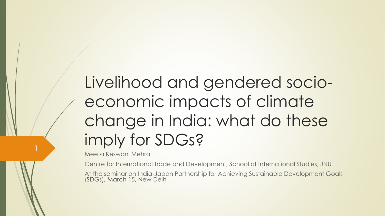# Livelihood and gendered socioeconomic impacts of climate change in India: what do these imply for SDGs?

Meeta Keswani Mehra

Centre for International Trade and Development, School of International Studies, JNU

At the seminar on India-Japan Partnership for Achieving Sustainable Development Goals (SDGs), March 15, New Delhi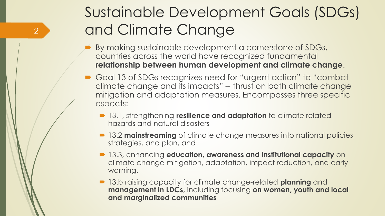### Sustainable Development Goals (SDGs) and Climate Change

 By making sustainable development a cornerstone of SDGs, countries across the world have recognized fundamental **relationship between human development and climate change**.

- Goal 13 of SDGs recognizes need for "urgent action" to "combat climate change and its impacts" -- thrust on both climate change mitigation and adaptation measures. Encompasses three specific aspects:
	- **13.1, strengthening resilience and adaptation** to climate related hazards and natural disasters
	- **13.2 mainstreaming** of climate change measures into national policies, strategies, and plan, and
	- 13.3, enhancing **education, awareness and institutional capacity** on climate change mitigation, adaptation, impact reduction, and early warning.
	- 13.b raising capacity for climate change-related **planning** and **management in LDCs**, including focusing **on women, youth and local and marginalized communities**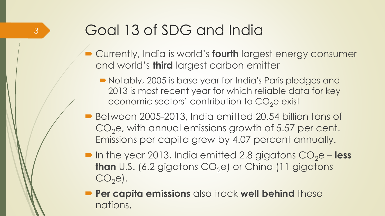## Goal 13 of SDG and India

- **Currently, India is world's fourth largest energy consumer** and world's **third** largest carbon emitter
	- Notably, 2005 is base year for India's Paris pledges and 2013 is most recent year for which reliable data for key economic sectors' contribution to  $CO<sub>2</sub>e$  exist
- Between 2005-2013, India emitted 20.54 billion tons of  $CO<sub>2</sub>e$ , with annual emissions growth of 5.57 per cent. Emissions per capita grew by 4.07 percent annually.
- $\blacksquare$  In the year 2013, India emitted 2.8 gigatons  $CO<sub>2</sub>e **less**$ **than** U.S. (6.2 gigatons  $CO<sub>2</sub>e$ ) or China (11 gigatons  $CO<sub>2</sub>el.$
- **Per capita emissions** also track well behind these nations.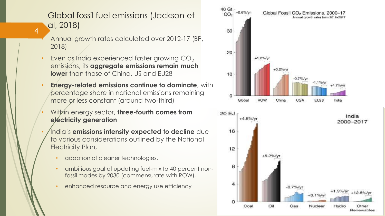#### Global fossil fuel emissions (Jackson et al, 2018)

- Annual growth rates calculated over 2012-17 (BP, 2018)
- Even as India experienced faster growing  $CO<sub>2</sub>$ emissions, its **aggregate emissions remain much lower** than those of China, US and EU28
- **Energy-related emissions continue to dominate**, with percentage share in national emissions remaining more or less constant (around two-third)
- **Within energy sector, three-fourth comes from electricity generation**
- India's **emissions intensity expected to decline** due to various considerations outlined by the National Electricity Plan,
	- adoption of cleaner technologies,
	- ambitious goal of updating fuel-mix to 40 percent nonfossil modes by 2030 (commensurate with ROW),
	- enhanced resource and energy use efficiency

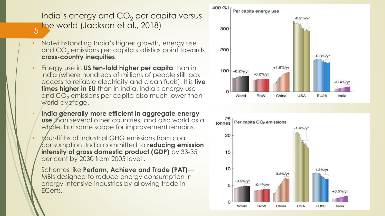#### India's energy and  $CO<sub>2</sub>$  per capita versus the world (Jackson et al., 2018)

- 5
- Notwithstanding India's higher growth, energy use and CO<sub>2</sub> emissions per capita statistics point towards **cross-country inequities**.
- Energy use in **US ten-fold higher per capita** than in India (where hundreds of millions of people still lack access to reliable electricity and clean fuels). It is **five times higher in EU** than in India. India's energy use and  $CO<sub>2</sub>$  emissions per capita also much lower than world average.
- **India generally more efficient in aggregate energy use** than several other countries, and also world as a whole, but some scope for improvement remains.
- **Four-fifths of industrial GHG emissions from coal** consumption. India committed to **reducing emission intensity of gross domestic product (GDP)** by 33-35 per cent by 2030 from 2005 level .

• Schemes like **Perform, Achieve and Trade (PAT)**— MBIs designed to reduce energy consumption in energy-intensive industries by allowing trade in ECerts.



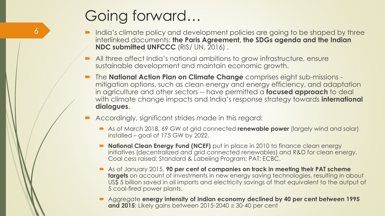### Going forward…

- India's climate policy and development policies are going to be shaped by three interlinked documents: **the Paris Agreement, the SDGs agenda and the Indian NDC submitted UNFCCC** (RIS/ UN, 2016) .
- All three affect India's national ambitions to grow infrastructure, ensure sustainable development and maintain economic growth.
- The **National Action Plan on Climate Change** comprises eight sub-missions mitigation options, such as clean energy and energy efficiency, and adaptation in agriculture and other sectors -- have permitted a **focused approach** to deal with climate change impacts and India's response strategy towards **international dialogues**.
- Accordingly, significant strides made in this regard:
	- As of March 2018, 69 GW of grid connected **renewable power** (largely wind and solar) installed – goal of 175 GW by 2022.
	- **National Clean Energy Fund (NCEF)** put in place in 2010 to finance clean energy initiatives (decentralized and grid connected renewables) and R&D for clean energy. Coal cess raised; Standard & Labeling Program; PAT; ECBC.
	- **As of January 2015, 90 per cent of companies on track in meeting their PAT scheme targets** on account of investments in new energy saving technologies, resulting in about US\$ 5 billion saved in oil imports and electricity savings of that equivalent to the output of 5 coal-fired power plants.
	- Aggregate **energy intensity of Indian economy declined by 40 per cent between 1995 and 2015**; Likely gains between 2015-2040  $\approx$  30-40 per cent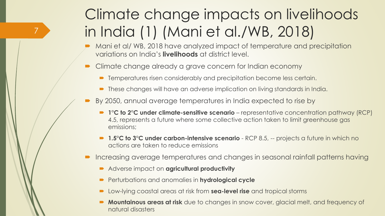## Climate change impacts on livelihoods in India (1) (Mani et al./WB, 2018)

- Mani et al/ WB, 2018 have analyzed impact of temperature and precipitation variations on India's **livelihoods** at district level.
- Climate change already a grave concern for Indian economy
	- **Temperatures risen considerably and precipitation become less certain.**
	- These changes will have an adverse implication on living standards in India.
- By 2050, annual average temperatures in India expected to rise by
	- 1<sup>o</sup>C to 2<sup>o</sup>C under climate-sensitive scenario representative concentration pathway (RCP) 4.5, represents a future where some collective action taken to limit greenhouse gas emissions;
	- 1.5°C to 3°C under carbon-intensive scenario RCP 8.5, -- projects a future in which no actions are taken to reduce emissions
- Increasing average temperatures and changes in seasonal rainfall patterns having
	- Adverse impact on **agricultural productivity**

- **Perturbations and anomalies in hydrological cycle**
- Low-lying coastal areas at risk from **sea-level rise** and tropical storms
- **Mountainous areas at risk** due to changes in snow cover, glacial melt, and frequency of natural disasters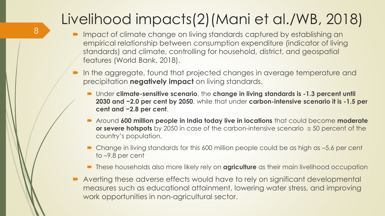## Livelihood impacts(2)(Mani et al./WB, 2018)

- Impact of climate change on living standards captured by establishing an empirical relationship between consumption expenditure (indicator of living standards) and climate, controlling for household, district, and geospatial features (World Bank, 2018).
- In the aggregate, found that projected changes in average temperature and precipitation **negatively impact** on living standards.
	- Under **climate-sensitive scenario**, the **change in living standards is -1.3 percent until 2030 and −2.0 per cent by 2050**, while that under **carbon-intensive scenario it is -1.5 per cent and −2.8 per cent**.
	- Around **600 million people in India today live in locations** that could become **moderate or severe hotspots** by 2050 in case of the carbon-intensive scenario  $\approx$  50 percent of the country's population.
	- Change in living standards for this 600 million people could be as high as –5.6 per cent to –9.8 per cent
	- **These households also more likely rely on <b>agriculture** as their main livelihood occupation
- Averting these adverse effects would have to rely on significant developmental measures such as educational attainment, lowering water stress, and improving work opportunities in non-agricultural sector.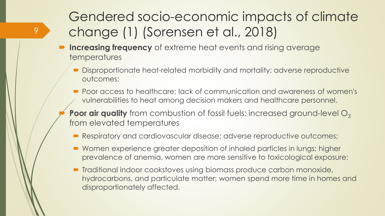#### Gendered socio-economic impacts of climate change (1) (Sorensen et al., 2018)

**Increasing frequency** of extreme heat events and rising average temperatures

- Disproportionate heat-related morbidity and mortality; adverse reproductive outcomes;
- Poor access to healthcare; lack of communication and awareness of women's vulnerabilities to heat among decision makers and healthcare personnel.
- **Poor air quality** from combustion of fossil fuels; increased ground-level O<sub>3</sub> from elevated temperatures
	- Respiratory and cardiovascular disease; adverse reproductive outcomes;
	- Women experience greater deposition of inhaled particles in lungs; higher prevalence of anemia, women are more sensitive to toxicological exposure;
	- **Traditional indoor cookstoves using biomass produce carbon monoxide,** hydrocarbons, and particulate matter; women spend more time in homes and disproportionately affected.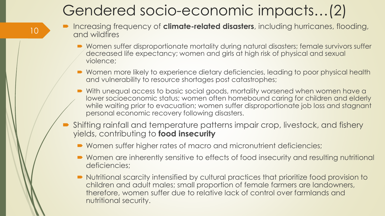#### Gendered socio-economic impacts…(2)

- Increasing frequency of **climate-related disasters**, including hurricanes, flooding, and wildfires
	- Women suffer disproportionate mortality during natural disasters; female survivors suffer decreased life expectancy; women and girls at high risk of physical and sexual violence;
	- Women more likely to experience dietary deficiencies, leading to poor physical health and vulnerability to resource shortages post catastrophes;
	- With unequal access to basic social goods, mortality worsened when women have a lower socioeconomic status; women often homebound caring for children and elderly while waiting prior to evacuation; women suffer disproportionate job loss and stagnant personal economic recovery following disasters.
- Shifting rainfall and temperature patterns impair crop, livestock, and fishery yields, contributing to **food insecurity**
	- Women suffer higher rates of macro and micronutrient deficiencies;
	- Women are inherently sensitive to effects of food insecurity and resulting nutritional deficiencies;
	- Nutritional scarcity intensified by cultural practices that prioritize food provision to children and adult males; small proportion of female farmers are landowners, therefore, women suffer due to relative lack of control over farmlands and nutritional security.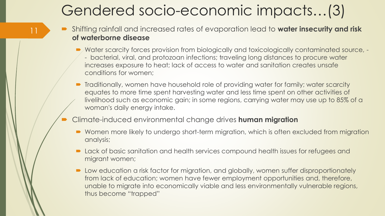#### Gendered socio-economic impacts…(3)

- Shifting rainfall and increased rates of evaporation lead to **water insecurity and risk of waterborne disease**
	- *Mater scarcity forces provision from biologically and toxicologically contaminated source, -*
		- bacterial, viral, and protozoan infections; traveling long distances to procure water increases exposure to heat; lack of access to water and sanitation creates unsafe conditions for women;
	- Traditionally, women have household role of providing water for family; water scarcity equates to more time spent harvesting water and less time spent on other activities of livelihood such as economic gain; in some regions, carrying water may use up to 85% of a woman's daily energy intake.
- Climate-induced environmental change drives **human migration**

- Women more likely to undergo short-term migration, which is often excluded from migration analysis;
- Lack of basic sanitation and health services compound health issues for refugees and migrant women;
- Low education a risk factor for migration, and globally, women suffer disproportionately from lack of education; women have fewer employment opportunities and, therefore, unable to migrate into economically viable and less environmentally vulnerable regions, thus become "trapped"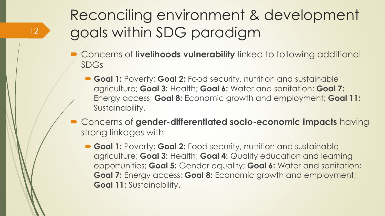### Reconciling environment & development goals within SDG paradigm

- **Concerns of livelihoods vulnerability** linked to following additional SDGs
	- **Goal 1:** Poverty; **Goal 2:** Food security, nutrition and sustainable agriculture; **Goal 3:** Health; **Goal 6:** Water and sanitation; **Goal 7:** Energy access; **Goal 8:** Economic growth and employment; **Goal 11:**  Sustainability.
- Concerns of **gender-differentiated socio-economic impacts** having strong linkages with
	- **Goal 1:** Poverty; **Goal 2:** Food security, nutrition and sustainable agriculture; **Goal 3:** Health; **Goal 4:** Quality education and learning opportunities; **Goal 5:** Gender equality; **Goal 6:** Water and sanitation; **Goal 7:** Energy access; **Goal 8:** Economic growth and employment; **Goal 11:** Sustainability**.**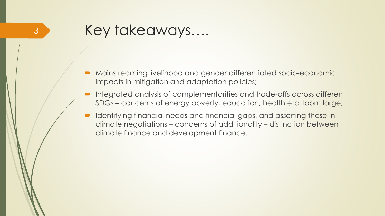- Mainstreaming livelihood and gender differentiated socio-economic impacts in mitigation and adaptation policies;
- Integrated analysis of complementarities and trade-offs across different SDGs – concerns of energy poverty, education, health etc. loom large;
- **IDED** Identifying financial needs and financial gaps, and asserting these in climate negotiations – concerns of additionality – distinction between climate finance and development finance.